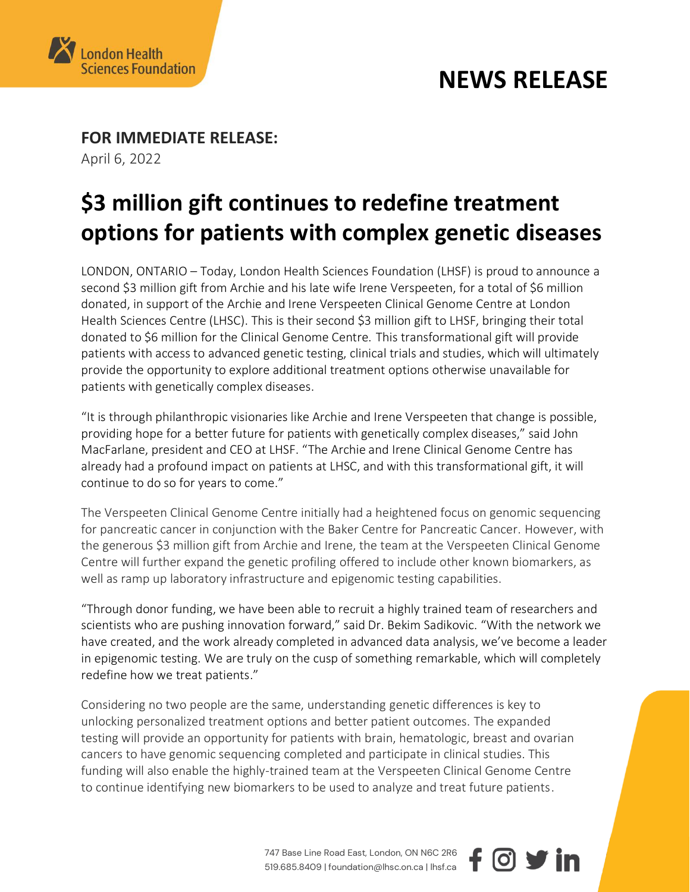

### **NEWS RELEASE**

 $\boldsymbol{\circ}$   $\boldsymbol{\mathsf{v}}$  in

**FOR IMMEDIATE RELEASE:** 

April 6, 2022

# **\$3 million gift continues to redefine treatment options for patients with complex genetic diseases**

LONDON, ONTARIO – Today, London Health Sciences Foundation (LHSF) is proud to announce a second \$3 million gift from Archie and his late wife Irene Verspeeten, for a total of \$6 million donated, in support of the Archie and Irene Verspeeten Clinical Genome Centre at London Health Sciences Centre (LHSC). This is their second \$3 million gift to LHSF, bringing their total donated to \$6 million for the Clinical Genome Centre. This transformational gift will provide patients with access to advanced genetic testing, clinical trials and studies, which will ultimately provide the opportunity to explore additional treatment options otherwise unavailable for patients with genetically complex diseases.

"It is through philanthropic visionaries like Archie and Irene Verspeeten that change is possible, providing hope for a better future for patients with genetically complex diseases," said John MacFarlane, president and CEO at LHSF. "The Archie and Irene Clinical Genome Centre has already had a profound impact on patients at LHSC, and with this transformational gift, it will continue to do so for years to come."

The Verspeeten Clinical Genome Centre initially had a heightened focus on genomic sequencing for pancreatic cancer in conjunction with the Baker Centre for Pancreatic Cancer. However, with the generous \$3 million gift from Archie and Irene, the team at the Verspeeten Clinical Genome Centre will further expand the genetic profiling offered to include other known biomarkers, as well as ramp up laboratory infrastructure and epigenomic testing capabilities.

"Through donor funding, we have been able to recruit a highly trained team of researchers and scientists who are pushing innovation forward," said Dr. Bekim Sadikovic. "With the network we have created, and the work already completed in advanced data analysis, we've become a leader in epigenomic testing. We are truly on the cusp of something remarkable, which will completely redefine how we treat patients."

Considering no two people are the same, understanding genetic differences is key to unlocking personalized treatment options and better patient outcomes. The expanded testing will provide an opportunity for patients with brain, hematologic, breast and ovarian cancers to have genomic sequencing completed and participate in clinical studies. This funding will also enable the highly-trained team at the Verspeeten Clinical Genome Centre to continue identifying new biomarkers to be used to analyze and treat future patients.